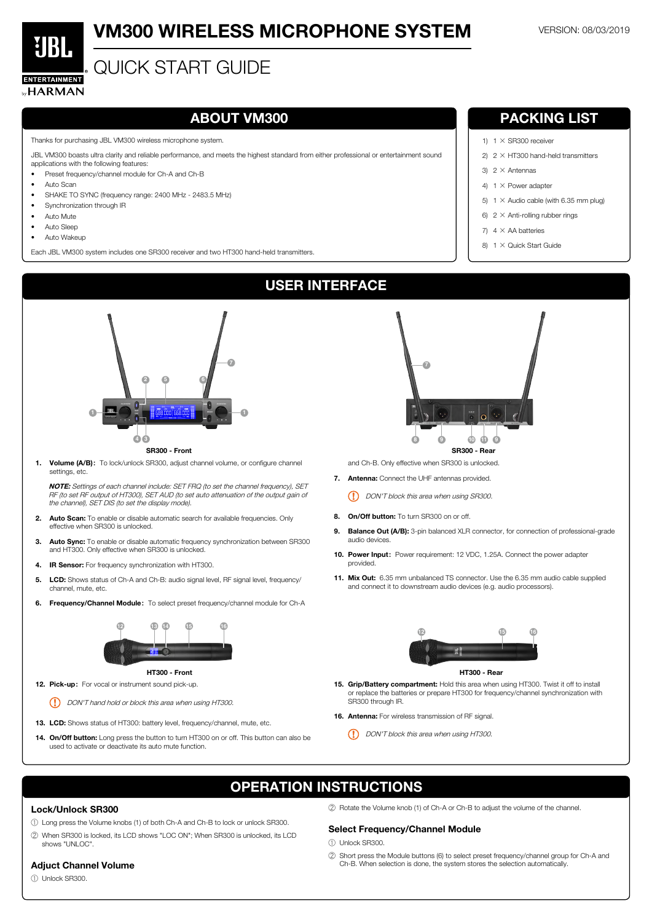

# **VM300 WIRELESS MICROPHONE SYSTEM VERSION: 08/03/2019**

# QUICK START GUIDE

Thanks for purchasing JBL VM300 wireless microphone system.

- Preset frequency/channel module for Ch-A and Ch-B
- Auto Scan
- SHAKE TO SYNC (frequency range: 2400 MHz 2483.5 MHz)
- Synchronization through IR
- Auto Mute
- Auto Sleep
- Auto Wakeup

JBL VM300 boasts ultra clarity and reliable performance, and meets the highest standard from either professional or entertainment sound applications with the following features:

- 13. LCD: Shows status of HT300: battery level, frequency/channel, mute, etc.
- 14. On/Off button: Long press the button to turn HT300 on or off. This button can also be used to activate or deactivate its auto mute function.

15. Grip/Battery compartment: Hold this area when using HT300. Twist it off to install or replace the batteries or prepare HT300 for frequency/channel synchronization with



Each JBL VM300 system includes one SR300 receiver and two HT300 hand-held transmitters.

(!) DON'T hand hold or block this area when using HT300.

# ABOUT VM300 PACKING LIST

- 1)  $1 \times$  SR300 receiver
- 2)  $2 \times$  HT300 hand-held transmitters
- 3)  $2 \times$  Antennas
- 4)  $1 \times$  Power adapter
- 5)  $1 \times$  Audio cable (with 6.35 mm plug)
- 6)  $2 \times$  Anti-rolling rubber rings
- 7)  $4 \times$  AA batteries
- 8)  $1 \times$  Quick Start Guide

1. Volume (A/B): To lock/unlock SR300, adjust channel volume, or configure channel settings, etc.

NOTE: Settings of each channel include: SET FRQ (to set the channel frequency), SET RF (to set RF output of HT300), SET AUD (to set auto attenuation of the output gain of the channel), SET DIS (to set the display mode).

- 2. Auto Scan: To enable or disable automatic search for available frequencies. Only **7 7** effective when SR300 is unlocked.
- **3.** Auto Sync: To enable or disable automatic frequency synchronization between SR300 and HT300. Only effective when SR300 is unlocked.
- 4. IR Sensor: For frequency synchronization with HT300. **1 1**
- 5. LCD: Shows status of Ch-A and Ch-B: audio signal level, RF signal level, frequency/ channel, mute, etc.
- 6. Frequency/Channel Module: To select preset frequency/channel module for Ch-A

SR300 through IR.

16. Antenna: For wireless transmission of RF signal.

(!) DON'T block this area when using HT300.

USER INTERFACE

and Ch-B. Only effective when SR300 is unlocked.

- 8. On/Off button: To turn SR300 on or off. **7 7**
- 9. Balance Out (A/B): 3-pin balanced XLR connector, for connection of professional-grade audio devices.
- 10. Power Input: Power requirement: 12 VDC, 1.25A. Connect the power adapter provided.
- 11. Mix Out: 6.35 mm unbalanced TS connector. Use the 6.35 mm audio cable supplied and connect it to downstream audio devices (e.g. audio processors).

7. Antenna: Connect the UHF antennas provided. **15 12 16 12 16**

(!) DON'T block this area when using SR300.









12. Pick-up: For vocal or instrument sound pick-up. HT300 - Front



## HT300 - Rear

# OPERATION INSTRUCTIONS

# Lock/Unlock SR300

- ① Long press the Volume knobs (1) of both Ch-A and Ch-B to lock or unlock SR300.
- ② When SR300 is locked, its LCD shows "LOC ON"; When SR300 is unlocked, its LCD shows "UNLOC".

## Adjuct Channel Volume

① Unlock SR300.

② Rotate the Volume knob (1) of Ch-A or Ch-B to adjust the volume of the channel.

# Select Frequency/Channel Module

① Unlock SR300.

② Short press the Module buttons (6) to select preset frequency/channel group for Ch-A and Ch-B. When selection is done, the system stores the selection automatically.